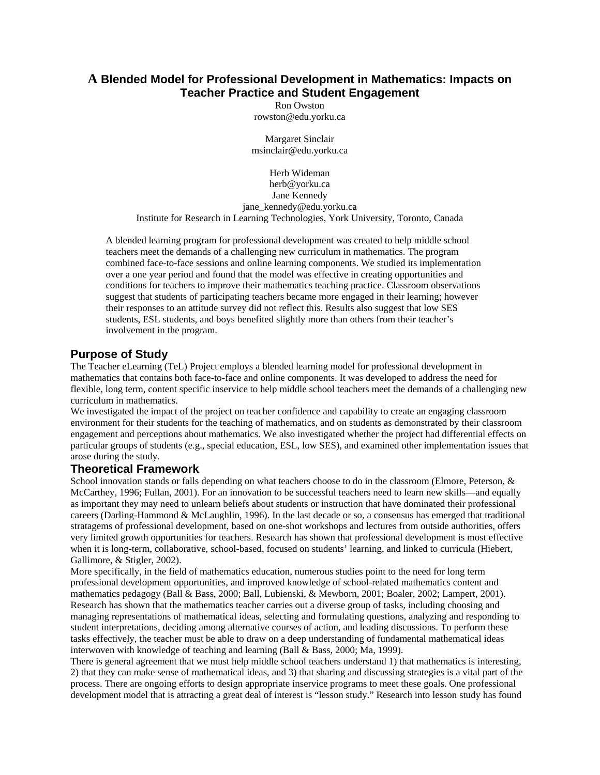## **A Blended Model for Professional Development in Mathematics: Impacts on Teacher Practice and Student Engagement**

Ron Owston rowston@edu.yorku.ca

Margaret Sinclair msinclair@edu.yorku.ca

Herb Wideman herb@yorku.ca Jane Kennedy jane\_kennedy@edu.yorku.ca Institute for Research in Learning Technologies, York University, Toronto, Canada

A blended learning program for professional development was created to help middle school teachers meet the demands of a challenging new curriculum in mathematics. The program combined face-to-face sessions and online learning components. We studied its implementation over a one year period and found that the model was effective in creating opportunities and conditions for teachers to improve their mathematics teaching practice. Classroom observations suggest that students of participating teachers became more engaged in their learning; however their responses to an attitude survey did not reflect this. Results also suggest that low SES students, ESL students, and boys benefited slightly more than others from their teacher's involvement in the program.

## **Purpose of Study**

The Teacher eLearning (TeL) Project employs a blended learning model for professional development in mathematics that contains both face-to-face and online components. It was developed to address the need for flexible, long term, content specific inservice to help middle school teachers meet the demands of a challenging new curriculum in mathematics.

We investigated the impact of the project on teacher confidence and capability to create an engaging classroom environment for their students for the teaching of mathematics, and on students as demonstrated by their classroom engagement and perceptions about mathematics. We also investigated whether the project had differential effects on particular groups of students (e.g., special education, ESL, low SES), and examined other implementation issues that arose during the study.

## **Theoretical Framework**

School innovation stands or falls depending on what teachers choose to do in the classroom (Elmore, Peterson, & McCarthey, 1996; Fullan, 2001). For an innovation to be successful teachers need to learn new skills—and equally as important they may need to unlearn beliefs about students or instruction that have dominated their professional careers (Darling-Hammond & McLaughlin, 1996). In the last decade or so, a consensus has emerged that traditional stratagems of professional development, based on one-shot workshops and lectures from outside authorities, offers very limited growth opportunities for teachers. Research has shown that professional development is most effective when it is long-term, collaborative, school-based, focused on students' learning, and linked to curricula (Hiebert, Gallimore, & Stigler, 2002).

More specifically, in the field of mathematics education, numerous studies point to the need for long term professional development opportunities, and improved knowledge of school-related mathematics content and mathematics pedagogy (Ball & Bass, 2000; Ball, Lubienski, & Mewborn, 2001; Boaler, 2002; Lampert, 2001). Research has shown that the mathematics teacher carries out a diverse group of tasks, including choosing and managing representations of mathematical ideas, selecting and formulating questions, analyzing and responding to student interpretations, deciding among alternative courses of action, and leading discussions. To perform these tasks effectively, the teacher must be able to draw on a deep understanding of fundamental mathematical ideas interwoven with knowledge of teaching and learning (Ball & Bass, 2000; Ma, 1999).

There is general agreement that we must help middle school teachers understand 1) that mathematics is interesting, 2) that they can make sense of mathematical ideas, and 3) that sharing and discussing strategies is a vital part of the process. There are ongoing efforts to design appropriate inservice programs to meet these goals. One professional development model that is attracting a great deal of interest is "lesson study." Research into lesson study has found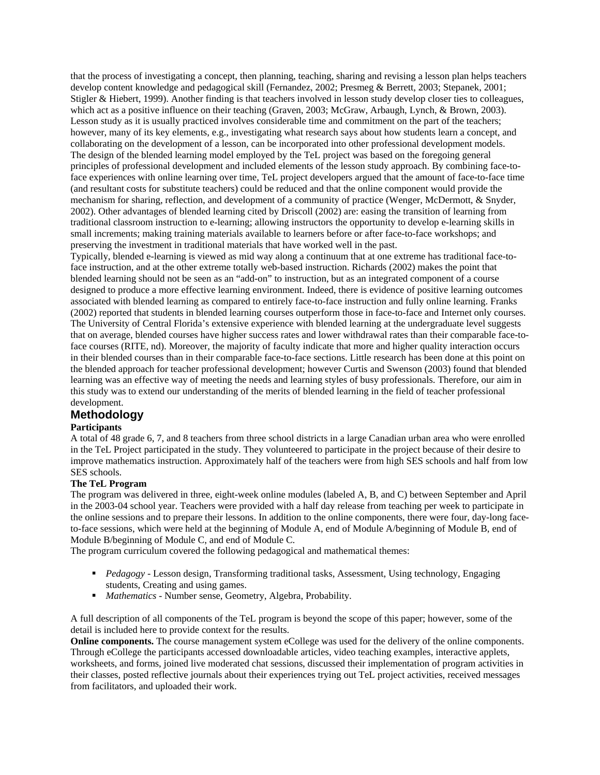that the process of investigating a concept, then planning, teaching, sharing and revising a lesson plan helps teachers develop content knowledge and pedagogical skill (Fernandez, 2002; Presmeg & Berrett, 2003; Stepanek, 2001; Stigler & Hiebert, 1999). Another finding is that teachers involved in lesson study develop closer ties to colleagues, which act as a positive influence on their teaching (Graven, 2003; McGraw, Arbaugh, Lynch, & Brown, 2003). Lesson study as it is usually practiced involves considerable time and commitment on the part of the teachers; however, many of its key elements, e.g., investigating what research says about how students learn a concept, and collaborating on the development of a lesson, can be incorporated into other professional development models. The design of the blended learning model employed by the TeL project was based on the foregoing general principles of professional development and included elements of the lesson study approach. By combining face-toface experiences with online learning over time, TeL project developers argued that the amount of face-to-face time (and resultant costs for substitute teachers) could be reduced and that the online component would provide the mechanism for sharing, reflection, and development of a community of practice (Wenger, McDermott, & Snyder, 2002). Other advantages of blended learning cited by Driscoll (2002) are: easing the transition of learning from traditional classroom instruction to e-learning; allowing instructors the opportunity to develop e-learning skills in small increments; making training materials available to learners before or after face-to-face workshops; and preserving the investment in traditional materials that have worked well in the past.

Typically, blended e-learning is viewed as mid way along a continuum that at one extreme has traditional face-toface instruction, and at the other extreme totally web-based instruction. Richards (2002) makes the point that blended learning should not be seen as an "add-on" to instruction, but as an integrated component of a course designed to produce a more effective learning environment. Indeed, there is evidence of positive learning outcomes associated with blended learning as compared to entirely face-to-face instruction and fully online learning. Franks (2002) reported that students in blended learning courses outperform those in face-to-face and Internet only courses. The University of Central Florida's extensive experience with blended learning at the undergraduate level suggests that on average, blended courses have higher success rates and lower withdrawal rates than their comparable face-toface courses (RITE, nd). Moreover, the majority of faculty indicate that more and higher quality interaction occurs in their blended courses than in their comparable face-to-face sections. Little research has been done at this point on the blended approach for teacher professional development; however Curtis and Swenson (2003) found that blended learning was an effective way of meeting the needs and learning styles of busy professionals. Therefore, our aim in this study was to extend our understanding of the merits of blended learning in the field of teacher professional development.

## **Methodology**

#### **Participants**

A total of 48 grade 6, 7, and 8 teachers from three school districts in a large Canadian urban area who were enrolled in the TeL Project participated in the study. They volunteered to participate in the project because of their desire to improve mathematics instruction. Approximately half of the teachers were from high SES schools and half from low SES schools.

#### **The TeL Program**

The program was delivered in three, eight-week online modules (labeled A, B, and C) between September and April in the 2003-04 school year. Teachers were provided with a half day release from teaching per week to participate in the online sessions and to prepare their lessons. In addition to the online components, there were four, day-long faceto-face sessions, which were held at the beginning of Module A, end of Module A/beginning of Module B, end of Module B/beginning of Module C, and end of Module C.

The program curriculum covered the following pedagogical and mathematical themes:

- **Pedagogy** Lesson design, Transforming traditional tasks, Assessment, Using technology, Engaging students, Creating and using games.
- *Mathematics* Number sense, Geometry, Algebra, Probability.

A full description of all components of the TeL program is beyond the scope of this paper; however, some of the detail is included here to provide context for the results.

**Online components.** The course management system eCollege was used for the delivery of the online components. Through eCollege the participants accessed downloadable articles, video teaching examples, interactive applets, worksheets, and forms, joined live moderated chat sessions, discussed their implementation of program activities in their classes, posted reflective journals about their experiences trying out TeL project activities, received messages from facilitators, and uploaded their work.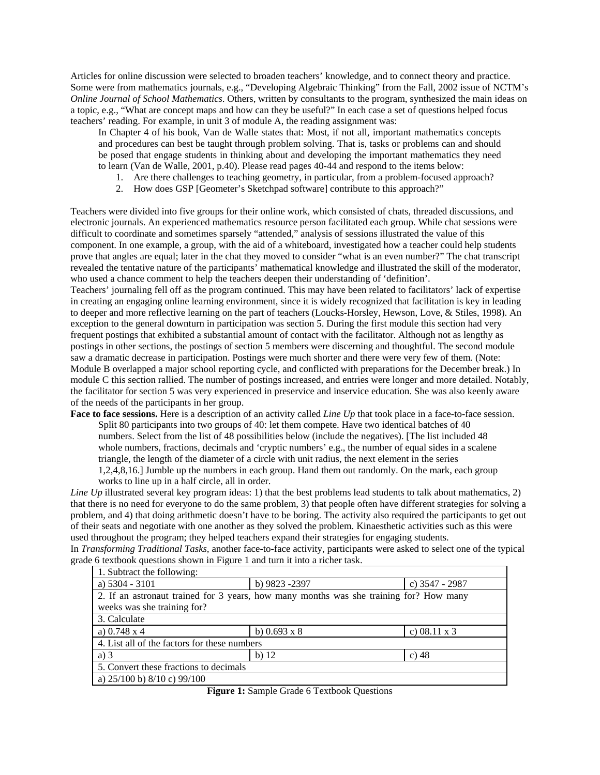Articles for online discussion were selected to broaden teachers' knowledge, and to connect theory and practice. Some were from mathematics journals, e.g., "Developing Algebraic Thinking" from the Fall, 2002 issue of NCTM's *Online Journal of School Mathematics*. Others, written by consultants to the program, synthesized the main ideas on a topic, e.g., "What are concept maps and how can they be useful?" In each case a set of questions helped focus teachers' reading. For example, in unit 3 of module A, the reading assignment was:

In Chapter 4 of his book, Van de Walle states that: Most, if not all, important mathematics concepts and procedures can best be taught through problem solving. That is, tasks or problems can and should be posed that engage students in thinking about and developing the important mathematics they need to learn (Van de Walle, 2001, p.40). Please read pages 40-44 and respond to the items below:

- 1. Are there challenges to teaching geometry, in particular, from a problem-focused approach?
- 2. How does GSP [Geometer's Sketchpad software] contribute to this approach?"

Teachers were divided into five groups for their online work, which consisted of chats, threaded discussions, and electronic journals. An experienced mathematics resource person facilitated each group. While chat sessions were difficult to coordinate and sometimes sparsely "attended," analysis of sessions illustrated the value of this component. In one example, a group, with the aid of a whiteboard, investigated how a teacher could help students prove that angles are equal; later in the chat they moved to consider "what is an even number?" The chat transcript revealed the tentative nature of the participants' mathematical knowledge and illustrated the skill of the moderator, who used a chance comment to help the teachers deepen their understanding of 'definition'.

Teachers' journaling fell off as the program continued. This may have been related to facilitators' lack of expertise in creating an engaging online learning environment, since it is widely recognized that facilitation is key in leading to deeper and more reflective learning on the part of teachers (Loucks-Horsley, Hewson, Love, & Stiles, 1998). An exception to the general downturn in participation was section 5. During the first module this section had very frequent postings that exhibited a substantial amount of contact with the facilitator. Although not as lengthy as postings in other sections, the postings of section 5 members were discerning and thoughtful. The second module saw a dramatic decrease in participation. Postings were much shorter and there were very few of them. (Note: Module B overlapped a major school reporting cycle, and conflicted with preparations for the December break.) In module C this section rallied. The number of postings increased, and entries were longer and more detailed. Notably, the facilitator for section 5 was very experienced in preservice and inservice education. She was also keenly aware of the needs of the participants in her group.

**Face to face sessions.** Here is a description of an activity called *Line Up* that took place in a face-to-face session. Split 80 participants into two groups of 40: let them compete. Have two identical batches of 40 numbers. Select from the list of 48 possibilities below (include the negatives). [The list included 48 whole numbers, fractions, decimals and 'cryptic numbers' e.g., the number of equal sides in a scalene triangle, the length of the diameter of a circle with unit radius, the next element in the series 1,2,4,8,16.] Jumble up the numbers in each group. Hand them out randomly. On the mark, each group works to line up in a half circle, all in order.

*Line Up* illustrated several key program ideas: 1) that the best problems lead students to talk about mathematics, 2) that there is no need for everyone to do the same problem, 3) that people often have different strategies for solving a problem, and 4) that doing arithmetic doesn't have to be boring. The activity also required the participants to get out of their seats and negotiate with one another as they solved the problem. Kinaesthetic activities such as this were used throughout the program; they helped teachers expand their strategies for engaging students.

In *Transforming Traditional Tasks,* another face-to-face activity, participants were asked to select one of the typical grade 6 textbook questions shown in Figure 1 and turn it into a richer task.

| 1. Subtract the following:                                                             |                     |                     |
|----------------------------------------------------------------------------------------|---------------------|---------------------|
| a) $5304 - 3101$                                                                       | b) 9823 -2397       | c) 3547 - 2987      |
| 2. If an astronaut trained for 3 years, how many months was she training for? How many |                     |                     |
| weeks was she training for?                                                            |                     |                     |
| 3. Calculate                                                                           |                     |                     |
| a) $0.748 \times 4$                                                                    | b) $0.693 \times 8$ | c) $08.11 \times 3$ |
| 4. List all of the factors for these numbers                                           |                     |                     |
| a) $3$                                                                                 | $b)$ 12             | c) $48$             |
| 5. Convert these fractions to decimals                                                 |                     |                     |
| a) $25/100$ b) $8/10$ c) $99/100$                                                      |                     |                     |

**Figure 1:** Sample Grade 6 Textbook Questions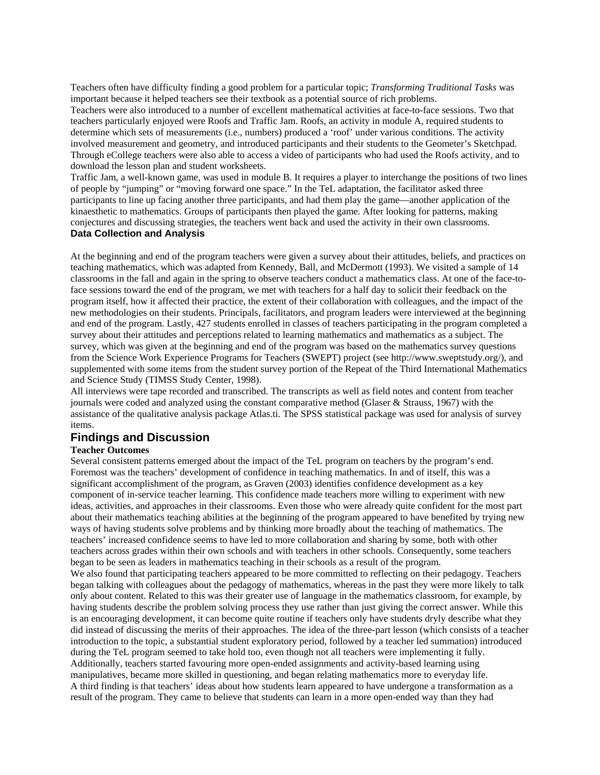Teachers often have difficulty finding a good problem for a particular topic; *Transforming Traditional Tasks* was important because it helped teachers see their textbook as a potential source of rich problems.

Teachers were also introduced to a number of excellent mathematical activities at face-to-face sessions. Two that teachers particularly enjoyed were Roofs and Traffic Jam. Roofs, an activity in module A, required students to determine which sets of measurements (i.e., numbers) produced a 'roof' under various conditions. The activity involved measurement and geometry, and introduced participants and their students to the Geometer's Sketchpad. Through eCollege teachers were also able to access a video of participants who had used the Roofs activity, and to download the lesson plan and student worksheets.

Traffic Jam, a well-known game, was used in module B. It requires a player to interchange the positions of two lines of people by "jumping" or "moving forward one space." In the TeL adaptation, the facilitator asked three participants to line up facing another three participants, and had them play the game—another application of the kinaesthetic to mathematics. Groups of participants then played the game. After looking for patterns, making conjectures and discussing strategies, the teachers went back and used the activity in their own classrooms. **Data Collection and Analysis** 

At the beginning and end of the program teachers were given a survey about their attitudes, beliefs, and practices on teaching mathematics, which was adapted from Kennedy, Ball, and McDermott (1993). We visited a sample of 14 classrooms in the fall and again in the spring to observe teachers conduct a mathematics class. At one of the face-toface sessions toward the end of the program, we met with teachers for a half day to solicit their feedback on the program itself, how it affected their practice, the extent of their collaboration with colleagues, and the impact of the new methodologies on their students. Principals, facilitators, and program leaders were interviewed at the beginning and end of the program. Lastly, 427 students enrolled in classes of teachers participating in the program completed a survey about their attitudes and perceptions related to learning mathematics and mathematics as a subject. The survey, which was given at the beginning and end of the program was based on the mathematics survey questions from the Science Work Experience Programs for Teachers (SWEPT) project (see http://www.sweptstudy.org/), and supplemented with some items from the student survey portion of the Repeat of the Third International Mathematics and Science Study (TIMSS Study Center, 1998).

All interviews were tape recorded and transcribed. The transcripts as well as field notes and content from teacher journals were coded and analyzed using the constant comparative method (Glaser & Strauss, 1967) with the assistance of the qualitative analysis package Atlas.ti. The SPSS statistical package was used for analysis of survey items.

## **Findings and Discussion**

#### **Teacher Outcomes**

Several consistent patterns emerged about the impact of the TeL program on teachers by the program's end. Foremost was the teachers' development of confidence in teaching mathematics. In and of itself, this was a significant accomplishment of the program, as Graven (2003) identifies confidence development as a key component of in-service teacher learning. This confidence made teachers more willing to experiment with new ideas, activities, and approaches in their classrooms. Even those who were already quite confident for the most part about their mathematics teaching abilities at the beginning of the program appeared to have benefited by trying new ways of having students solve problems and by thinking more broadly about the teaching of mathematics. The teachers' increased confidence seems to have led to more collaboration and sharing by some, both with other teachers across grades within their own schools and with teachers in other schools. Consequently, some teachers began to be seen as leaders in mathematics teaching in their schools as a result of the program.

We also found that participating teachers appeared to be more committed to reflecting on their pedagogy. Teachers began talking with colleagues about the pedagogy of mathematics, whereas in the past they were more likely to talk only about content. Related to this was their greater use of language in the mathematics classroom, for example, by having students describe the problem solving process they use rather than just giving the correct answer. While this is an encouraging development, it can become quite routine if teachers only have students dryly describe what they did instead of discussing the merits of their approaches. The idea of the three-part lesson (which consists of a teacher introduction to the topic, a substantial student exploratory period, followed by a teacher led summation) introduced during the TeL program seemed to take hold too, even though not all teachers were implementing it fully. Additionally, teachers started favouring more open-ended assignments and activity-based learning using manipulatives, became more skilled in questioning, and began relating mathematics more to everyday life. A third finding is that teachers' ideas about how students learn appeared to have undergone a transformation as a result of the program. They came to believe that students can learn in a more open-ended way than they had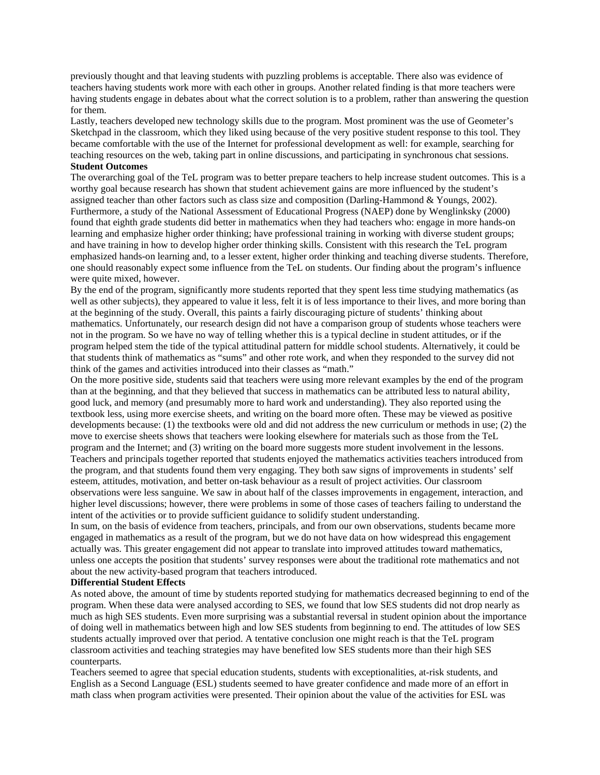previously thought and that leaving students with puzzling problems is acceptable. There also was evidence of teachers having students work more with each other in groups. Another related finding is that more teachers were having students engage in debates about what the correct solution is to a problem, rather than answering the question for them.

Lastly, teachers developed new technology skills due to the program. Most prominent was the use of Geometer's Sketchpad in the classroom, which they liked using because of the very positive student response to this tool. They became comfortable with the use of the Internet for professional development as well: for example, searching for teaching resources on the web, taking part in online discussions, and participating in synchronous chat sessions. **Student Outcomes** 

# The overarching goal of the TeL program was to better prepare teachers to help increase student outcomes. This is a worthy goal because research has shown that student achievement gains are more influenced by the student's

assigned teacher than other factors such as class size and composition (Darling-Hammond & Youngs, 2002). Furthermore, a study of the National Assessment of Educational Progress (NAEP) done by Wenglinksky (2000) found that eighth grade students did better in mathematics when they had teachers who: engage in more hands-on learning and emphasize higher order thinking; have professional training in working with diverse student groups; and have training in how to develop higher order thinking skills. Consistent with this research the TeL program emphasized hands-on learning and, to a lesser extent, higher order thinking and teaching diverse students. Therefore, one should reasonably expect some influence from the TeL on students. Our finding about the program's influence were quite mixed, however.

By the end of the program, significantly more students reported that they spent less time studying mathematics (as well as other subjects), they appeared to value it less, felt it is of less importance to their lives, and more boring than at the beginning of the study. Overall, this paints a fairly discouraging picture of students' thinking about mathematics. Unfortunately, our research design did not have a comparison group of students whose teachers were not in the program. So we have no way of telling whether this is a typical decline in student attitudes, or if the program helped stem the tide of the typical attitudinal pattern for middle school students. Alternatively, it could be that students think of mathematics as "sums" and other rote work, and when they responded to the survey did not think of the games and activities introduced into their classes as "math."

On the more positive side, students said that teachers were using more relevant examples by the end of the program than at the beginning, and that they believed that success in mathematics can be attributed less to natural ability, good luck, and memory (and presumably more to hard work and understanding). They also reported using the textbook less, using more exercise sheets, and writing on the board more often. These may be viewed as positive developments because: (1) the textbooks were old and did not address the new curriculum or methods in use; (2) the move to exercise sheets shows that teachers were looking elsewhere for materials such as those from the TeL program and the Internet; and (3) writing on the board more suggests more student involvement in the lessons. Teachers and principals together reported that students enjoyed the mathematics activities teachers introduced from the program, and that students found them very engaging. They both saw signs of improvements in students' self esteem, attitudes, motivation, and better on-task behaviour as a result of project activities. Our classroom observations were less sanguine. We saw in about half of the classes improvements in engagement, interaction, and higher level discussions; however, there were problems in some of those cases of teachers failing to understand the intent of the activities or to provide sufficient guidance to solidify student understanding.

In sum, on the basis of evidence from teachers, principals, and from our own observations, students became more engaged in mathematics as a result of the program, but we do not have data on how widespread this engagement actually was. This greater engagement did not appear to translate into improved attitudes toward mathematics, unless one accepts the position that students' survey responses were about the traditional rote mathematics and not about the new activity-based program that teachers introduced.

#### **Differential Student Effects**

As noted above, the amount of time by students reported studying for mathematics decreased beginning to end of the program. When these data were analysed according to SES, we found that low SES students did not drop nearly as much as high SES students. Even more surprising was a substantial reversal in student opinion about the importance of doing well in mathematics between high and low SES students from beginning to end. The attitudes of low SES students actually improved over that period. A tentative conclusion one might reach is that the TeL program classroom activities and teaching strategies may have benefited low SES students more than their high SES counterparts.

Teachers seemed to agree that special education students, students with exceptionalities, at-risk students, and English as a Second Language (ESL) students seemed to have greater confidence and made more of an effort in math class when program activities were presented. Their opinion about the value of the activities for ESL was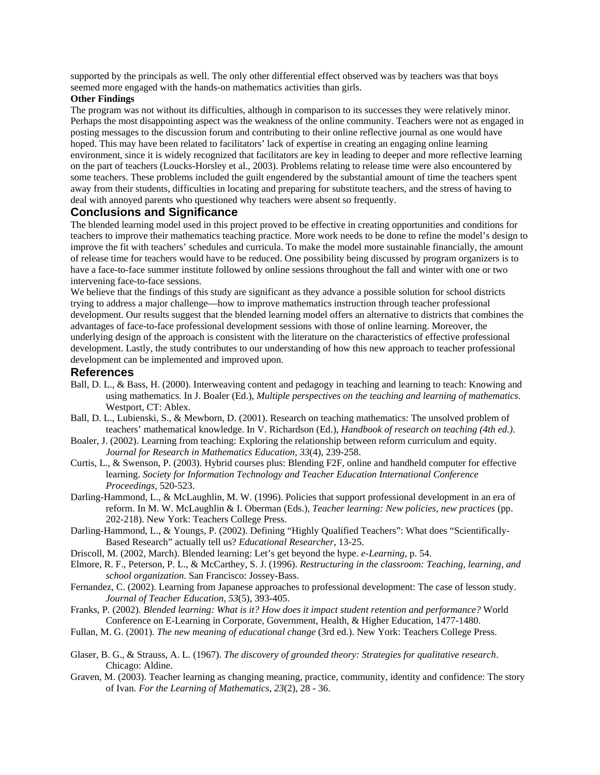supported by the principals as well. The only other differential effect observed was by teachers was that boys seemed more engaged with the hands-on mathematics activities than girls.

## **Other Findings**

The program was not without its difficulties, although in comparison to its successes they were relatively minor. Perhaps the most disappointing aspect was the weakness of the online community. Teachers were not as engaged in posting messages to the discussion forum and contributing to their online reflective journal as one would have hoped. This may have been related to facilitators' lack of expertise in creating an engaging online learning environment, since it is widely recognized that facilitators are key in leading to deeper and more reflective learning on the part of teachers (Loucks-Horsley et al., 2003). Problems relating to release time were also encountered by some teachers. These problems included the guilt engendered by the substantial amount of time the teachers spent away from their students, difficulties in locating and preparing for substitute teachers, and the stress of having to deal with annoyed parents who questioned why teachers were absent so frequently.

## **Conclusions and Significance**

The blended learning model used in this project proved to be effective in creating opportunities and conditions for teachers to improve their mathematics teaching practice. More work needs to be done to refine the model's design to improve the fit with teachers' schedules and curricula. To make the model more sustainable financially, the amount of release time for teachers would have to be reduced. One possibility being discussed by program organizers is to have a face-to-face summer institute followed by online sessions throughout the fall and winter with one or two intervening face-to-face sessions.

We believe that the findings of this study are significant as they advance a possible solution for school districts trying to address a major challenge—how to improve mathematics instruction through teacher professional development. Our results suggest that the blended learning model offers an alternative to districts that combines the advantages of face-to-face professional development sessions with those of online learning. Moreover, the underlying design of the approach is consistent with the literature on the characteristics of effective professional development. Lastly, the study contributes to our understanding of how this new approach to teacher professional development can be implemented and improved upon.

### **References**

- Ball, D. L., & Bass, H. (2000). Interweaving content and pedagogy in teaching and learning to teach: Knowing and using mathematics. In J. Boaler (Ed.), *Multiple perspectives on the teaching and learning of mathematics*. Westport, CT: Ablex.
- Ball, D. L., Lubienski, S., & Mewborn, D. (2001). Research on teaching mathematics: The unsolved problem of teachers' mathematical knowledge. In V. Richardson (Ed.), *Handbook of research on teaching (4th ed.)*.
- Boaler, J. (2002). Learning from teaching: Exploring the relationship between reform curriculum and equity. *Journal for Research in Mathematics Education, 33*(4), 239-258.
- Curtis, L., & Swenson, P. (2003). Hybrid courses plus: Blending F2F, online and handheld computer for effective learning. *Society for Information Technology and Teacher Education International Conference Proceedings*, 520-523.
- Darling-Hammond, L., & McLaughlin, M. W. (1996). Policies that support professional development in an era of reform. In M. W. McLaughlin & I. Oberman (Eds.), *Teacher learning: New policies, new practices* (pp. 202-218). New York: Teachers College Press.
- Darling-Hammond, L., & Youngs, P. (2002). Defining "Highly Qualified Teachers": What does "Scientifically-Based Research" actually tell us? *Educational Researcher*, 13-25.
- Driscoll, M. (2002, March). Blended learning: Let's get beyond the hype. *e-Learning*, p. 54.
- Elmore, R. F., Peterson, P. L., & McCarthey, S. J. (1996). *Restructuring in the classroom: Teaching, learning, and school organization*. San Francisco: Jossey-Bass.
- Fernandez, C. (2002). Learning from Japanese approaches to professional development: The case of lesson study. *Journal of Teacher Education, 53*(5), 393-405.
- Franks, P. (2002). *Blended learning: What is it? How does it impact student retention and performance?* World Conference on E-Learning in Corporate, Government, Health, & Higher Education, 1477-1480.
- Fullan, M. G. (2001). *The new meaning of educational change* (3rd ed.). New York: Teachers College Press.
- Glaser, B. G., & Strauss, A. L. (1967). *The discovery of grounded theory: Strategies for qualitative research*. Chicago: Aldine.
- Graven, M. (2003). Teacher learning as changing meaning, practice, community, identity and confidence: The story of Ivan. *For the Learning of Mathematics, 23*(2), 28 - 36.